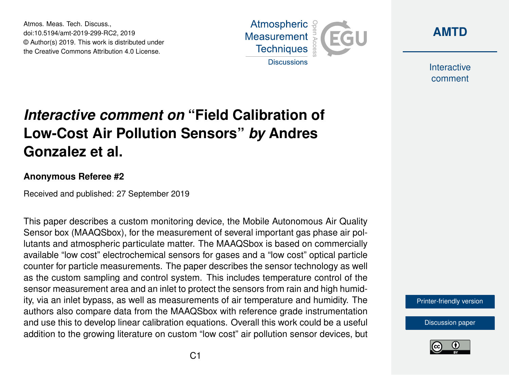Atmos. Meas. Tech. Discuss., doi:10.5194/amt-2019-299-RC2, 2019 © Author(s) 2019. This work is distributed under the Creative Commons Attribution 4.0 License.



**[AMTD](https://www.atmos-meas-tech-discuss.net/)**

Interactive comment

## *Interactive comment on* **"Field Calibration of Low-Cost Air Pollution Sensors"** *by* **Andres Gonzalez et al.**

## **Anonymous Referee #2**

Received and published: 27 September 2019

This paper describes a custom monitoring device, the Mobile Autonomous Air Quality Sensor box (MAAQSbox), for the measurement of several important gas phase air pollutants and atmospheric particulate matter. The MAAQSbox is based on commercially available "low cost" electrochemical sensors for gases and a "low cost" optical particle counter for particle measurements. The paper describes the sensor technology as well as the custom sampling and control system. This includes temperature control of the sensor measurement area and an inlet to protect the sensors from rain and high humidity, via an inlet bypass, as well as measurements of air temperature and humidity. The authors also compare data from the MAAQSbox with reference grade instrumentation and use this to develop linear calibration equations. Overall this work could be a useful addition to the growing literature on custom "low cost" air pollution sensor devices, but

[Printer-friendly version](https://www.atmos-meas-tech-discuss.net/amt-2019-299/amt-2019-299-RC2-print.pdf)

[Discussion paper](https://www.atmos-meas-tech-discuss.net/amt-2019-299)

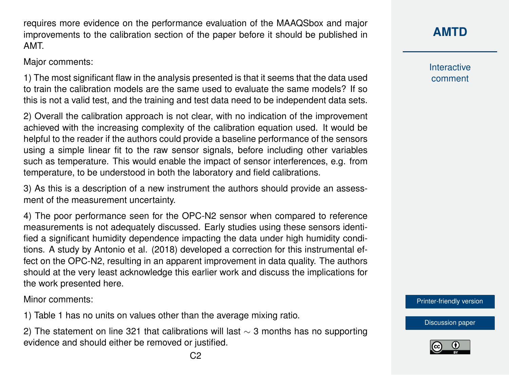requires more evidence on the performance evaluation of the MAAQSbox and major improvements to the calibration section of the paper before it should be published in AMT.

Major comments:

1) The most significant flaw in the analysis presented is that it seems that the data used to train the calibration models are the same used to evaluate the same models? If so this is not a valid test, and the training and test data need to be independent data sets.

2) Overall the calibration approach is not clear, with no indication of the improvement achieved with the increasing complexity of the calibration equation used. It would be helpful to the reader if the authors could provide a baseline performance of the sensors using a simple linear fit to the raw sensor signals, before including other variables such as temperature. This would enable the impact of sensor interferences, e.g. from temperature, to be understood in both the laboratory and field calibrations.

3) As this is a description of a new instrument the authors should provide an assessment of the measurement uncertainty.

4) The poor performance seen for the OPC-N2 sensor when compared to reference measurements is not adequately discussed. Early studies using these sensors identified a significant humidity dependence impacting the data under high humidity conditions. A study by Antonio et al. (2018) developed a correction for this instrumental effect on the OPC-N2, resulting in an apparent improvement in data quality. The authors should at the very least acknowledge this earlier work and discuss the implications for the work presented here.

Minor comments:

1) Table 1 has no units on values other than the average mixing ratio.

2) The statement on line 321 that calibrations will last  $\sim$  3 months has no supporting evidence and should either be removed or justified.

Interactive comment

[Printer-friendly version](https://www.atmos-meas-tech-discuss.net/amt-2019-299/amt-2019-299-RC2-print.pdf)

[Discussion paper](https://www.atmos-meas-tech-discuss.net/amt-2019-299)